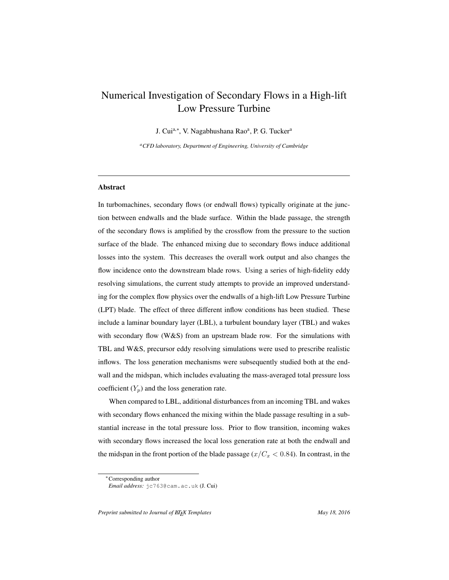# Numerical Investigation of Secondary Flows in a High-lift Low Pressure Turbine

J. Cui<sup>a,∗</sup>, V. Nagabhushana Rao<sup>a</sup>, P. G. Tucker<sup>a</sup>

*<sup>a</sup>CFD laboratory, Department of Engineering, University of Cambridge*

#### Abstract

In turbomachines, secondary flows (or endwall flows) typically originate at the junction between endwalls and the blade surface. Within the blade passage, the strength of the secondary flows is amplified by the crossflow from the pressure to the suction surface of the blade. The enhanced mixing due to secondary flows induce additional losses into the system. This decreases the overall work output and also changes the flow incidence onto the downstream blade rows. Using a series of high-fidelity eddy resolving simulations, the current study attempts to provide an improved understanding for the complex flow physics over the endwalls of a high-lift Low Pressure Turbine (LPT) blade. The effect of three different inflow conditions has been studied. These include a laminar boundary layer (LBL), a turbulent boundary layer (TBL) and wakes with secondary flow ( $W&S$ ) from an upstream blade row. For the simulations with TBL and W&S, precursor eddy resolving simulations were used to prescribe realistic inflows. The loss generation mechanisms were subsequently studied both at the endwall and the midspan, which includes evaluating the mass-averaged total pressure loss coefficient  $(Y_p)$  and the loss generation rate.

When compared to LBL, additional disturbances from an incoming TBL and wakes with secondary flows enhanced the mixing within the blade passage resulting in a substantial increase in the total pressure loss. Prior to flow transition, incoming wakes with secondary flows increased the local loss generation rate at both the endwall and the midspan in the front portion of the blade passage ( $x/C_x < 0.84$ ). In contrast, in the

<sup>∗</sup>Corresponding author

*Email address:* jc763@cam.ac.uk (J. Cui)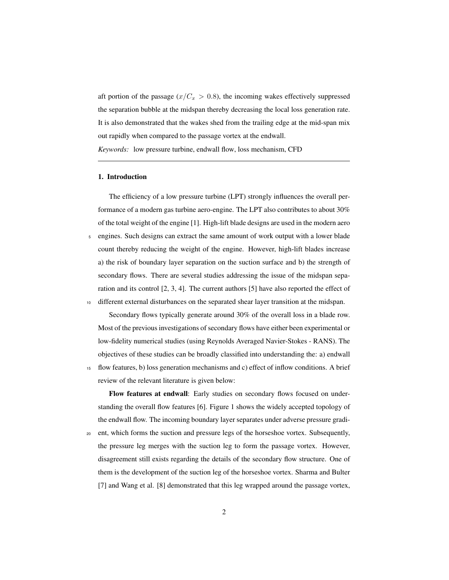aft portion of the passage  $(x/C_x > 0.8)$ , the incoming wakes effectively suppressed the separation bubble at the midspan thereby decreasing the local loss generation rate. It is also demonstrated that the wakes shed from the trailing edge at the mid-span mix out rapidly when compared to the passage vortex at the endwall. *Keywords:* low pressure turbine, endwall flow, loss mechanism, CFD

## 1. Introduction

The efficiency of a low pressure turbine (LPT) strongly influences the overall performance of a modern gas turbine aero-engine. The LPT also contributes to about 30% of the total weight of the engine [1]. High-lift blade designs are used in the modern aero <sup>5</sup> engines. Such designs can extract the same amount of work output with a lower blade count thereby reducing the weight of the engine. However, high-lift blades increase a) the risk of boundary layer separation on the suction surface and b) the strength of secondary flows. There are several studies addressing the issue of the midspan separation and its control [2, 3, 4]. The current authors [5] have also reported the effect of

<sup>10</sup> different external disturbances on the separated shear layer transition at the midspan.

Secondary flows typically generate around 30% of the overall loss in a blade row. Most of the previous investigations of secondary flows have either been experimental or low-fidelity numerical studies (using Reynolds Averaged Navier-Stokes - RANS). The objectives of these studies can be broadly classified into understanding the: a) endwall <sup>15</sup> flow features, b) loss generation mechanisms and c) effect of inflow conditions. A brief review of the relevant literature is given below:

Flow features at endwall: Early studies on secondary flows focused on understanding the overall flow features [6]. Figure 1 shows the widely accepted topology of the endwall flow. The incoming boundary layer separates under adverse pressure gradi-

<sup>20</sup> ent, which forms the suction and pressure legs of the horseshoe vortex. Subsequently, the pressure leg merges with the suction leg to form the passage vortex. However, disagreement still exists regarding the details of the secondary flow structure. One of them is the development of the suction leg of the horseshoe vortex. Sharma and Bulter [7] and Wang et al. [8] demonstrated that this leg wrapped around the passage vortex,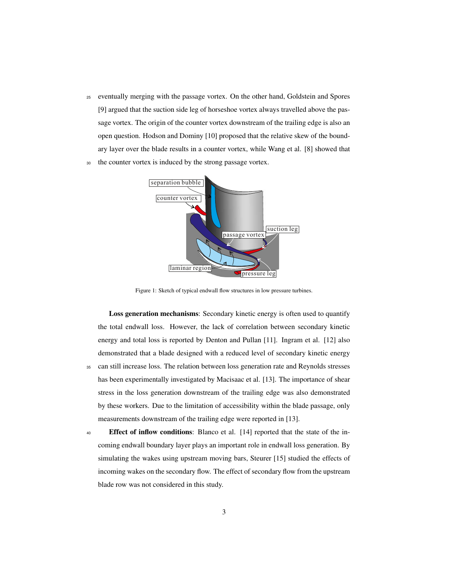<sup>25</sup> eventually merging with the passage vortex. On the other hand, Goldstein and Spores [9] argued that the suction side leg of horseshoe vortex always travelled above the passage vortex. The origin of the counter vortex downstream of the trailing edge is also an open question. Hodson and Dominy [10] proposed that the relative skew of the boundary layer over the blade results in a counter vortex, while Wang et al. [8] showed that





Figure 1: Sketch of typical endwall flow structures in low pressure turbines.

Loss generation mechanisms: Secondary kinetic energy is often used to quantify the total endwall loss. However, the lack of correlation between secondary kinetic energy and total loss is reported by Denton and Pullan [11]. Ingram et al. [12] also demonstrated that a blade designed with a reduced level of secondary kinetic energy <sup>35</sup> can still increase loss. The relation between loss generation rate and Reynolds stresses has been experimentally investigated by Macisaac et al. [13]. The importance of shear stress in the loss generation downstream of the trailing edge was also demonstrated by these workers. Due to the limitation of accessibility within the blade passage, only measurements downstream of the trailing edge were reported in [13].

<sup>40</sup> Effect of inflow conditions: Blanco et al. [14] reported that the state of the incoming endwall boundary layer plays an important role in endwall loss generation. By simulating the wakes using upstream moving bars, Steurer [15] studied the effects of incoming wakes on the secondary flow. The effect of secondary flow from the upstream blade row was not considered in this study.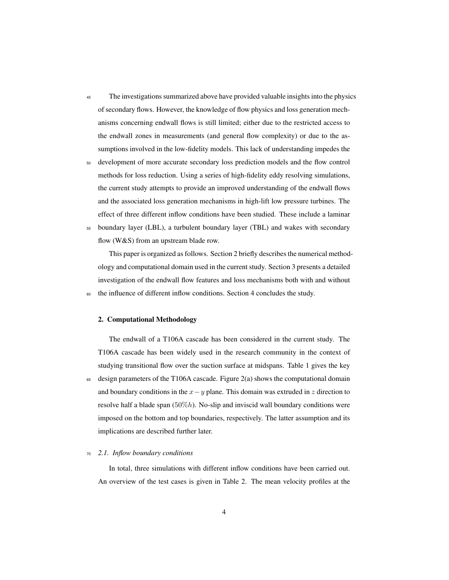- <sup>45</sup> The investigations summarized above have provided valuable insights into the physics of secondary flows. However, the knowledge of flow physics and loss generation mechanisms concerning endwall flows is still limited; either due to the restricted access to the endwall zones in measurements (and general flow complexity) or due to the assumptions involved in the low-fidelity models. This lack of understanding impedes the
- <sup>50</sup> development of more accurate secondary loss prediction models and the flow control methods for loss reduction. Using a series of high-fidelity eddy resolving simulations, the current study attempts to provide an improved understanding of the endwall flows and the associated loss generation mechanisms in high-lift low pressure turbines. The effect of three different inflow conditions have been studied. These include a laminar
- <sup>55</sup> boundary layer (LBL), a turbulent boundary layer (TBL) and wakes with secondary flow (W&S) from an upstream blade row.

This paper is organized as follows. Section 2 briefly describes the numerical methodology and computational domain used in the current study. Section 3 presents a detailed investigation of the endwall flow features and loss mechanisms both with and without <sup>60</sup> the influence of different inflow conditions. Section 4 concludes the study.

#### 2. Computational Methodology

The endwall of a T106A cascade has been considered in the current study. The T106A cascade has been widely used in the research community in the context of studying transitional flow over the suction surface at midspans. Table 1 gives the key  $65$  design parameters of the T106A cascade. Figure 2(a) shows the computational domain and boundary conditions in the  $x-y$  plane. This domain was extruded in z direction to resolve half a blade span  $(50\%)$ . No-slip and inviscid wall boundary conditions were imposed on the bottom and top boundaries, respectively. The latter assumption and its implications are described further later.

#### <sup>70</sup> *2.1. Inflow boundary conditions*

In total, three simulations with different inflow conditions have been carried out. An overview of the test cases is given in Table 2. The mean velocity profiles at the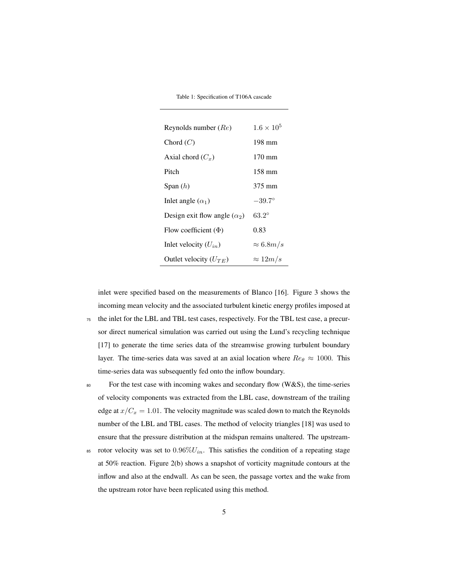Table 1: Specification of T106A cascade

| Reynolds number $(Re)$              | $1.6 \times 10^5$ |
|-------------------------------------|-------------------|
| Chord $(C)$                         | 198 mm            |
| Axial chord $(C_x)$                 | $170 \text{ mm}$  |
| Pitch                               | 158 mm            |
| Span $(h)$                          | 375 mm            |
| Inlet angle $(\alpha_1)$            | $-39.7^{\circ}$   |
| Design exit flow angle $(\alpha_2)$ | $63.2^{\circ}$    |
| Flow coefficient $(\Phi)$           | 0.83              |
| Inlet velocity $(U_{in})$           | $\approx 6.8 m/s$ |
| Outlet velocity $(U_{TE})$          | $\approx 12m/s$   |

inlet were specified based on the measurements of Blanco [16]. Figure 3 shows the incoming mean velocity and the associated turbulent kinetic energy profiles imposed at <sup>75</sup> the inlet for the LBL and TBL test cases, respectively. For the TBL test case, a precursor direct numerical simulation was carried out using the Lund's recycling technique

[17] to generate the time series data of the streamwise growing turbulent boundary

layer. The time-series data was saved at an axial location where  $Re_\theta \approx 1000$ . This time-series data was subsequently fed onto the inflow boundary.

<sup>80</sup> For the test case with incoming wakes and secondary flow (W&S), the time-series of velocity components was extracted from the LBL case, downstream of the trailing edge at  $x/C_x = 1.01$ . The velocity magnitude was scaled down to match the Reynolds number of the LBL and TBL cases. The method of velocity triangles [18] was used to ensure that the pressure distribution at the midspan remains unaltered. The upstream-

85 rotor velocity was set to  $0.96\%U_{in}$ . This satisfies the condition of a repeating stage at 50% reaction. Figure 2(b) shows a snapshot of vorticity magnitude contours at the inflow and also at the endwall. As can be seen, the passage vortex and the wake from the upstream rotor have been replicated using this method.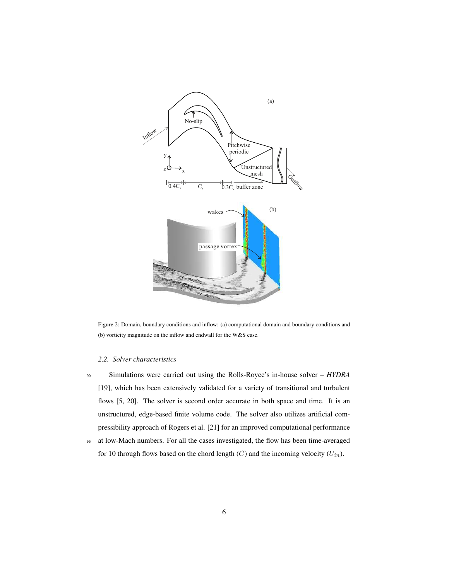

Figure 2: Domain, boundary conditions and inflow: (a) computational domain and boundary conditions and (b) vorticity magnitude on the inflow and endwall for the W&S case.

## *2.2. Solver characteristics*

<sup>90</sup> Simulations were carried out using the Rolls-Royce's in-house solver – *HYDRA* [19], which has been extensively validated for a variety of transitional and turbulent flows [5, 20]. The solver is second order accurate in both space and time. It is an unstructured, edge-based finite volume code. The solver also utilizes artificial compressibility approach of Rogers et al. [21] for an improved computational performance

<sup>95</sup> at low-Mach numbers. For all the cases investigated, the flow has been time-averaged for 10 through flows based on the chord length  $(C)$  and the incoming velocity  $(U_{in})$ .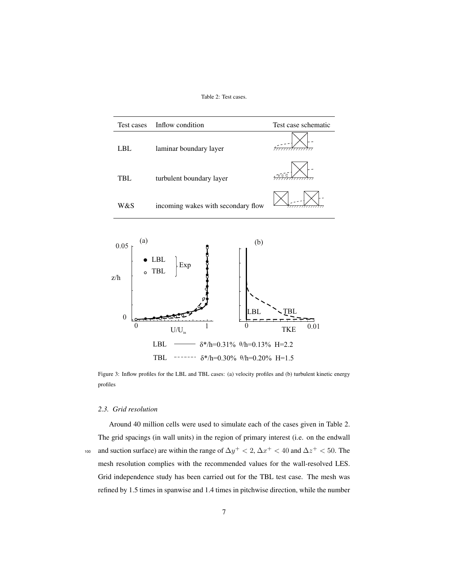Table 2: Test cases.





Figure 3: Inflow profiles for the LBL and TBL cases: (a) velocity profiles and (b) turbulent kinetic energy profiles

#### *2.3. Grid resolution*

Around 40 million cells were used to simulate each of the cases given in Table 2. The grid spacings (in wall units) in the region of primary interest (i.e. on the endwall <sup>100</sup> and suction surface) are within the range of  $\Delta y^+ < 2$ ,  $\Delta x^+ < 40$  and  $\Delta z^+ < 50$ . The mesh resolution complies with the recommended values for the wall-resolved LES. Grid independence study has been carried out for the TBL test case. The mesh was refined by 1.5 times in spanwise and 1.4 times in pitchwise direction, while the number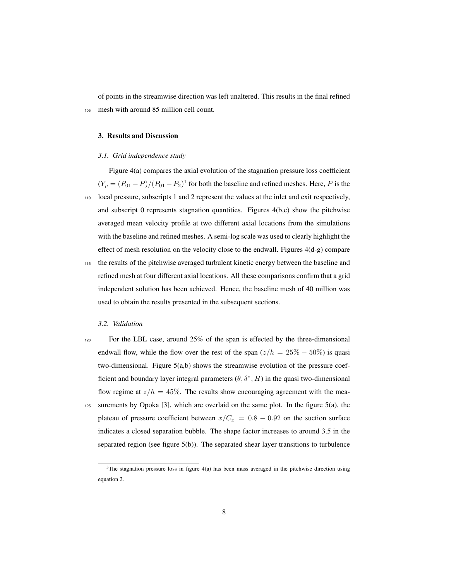of points in the streamwise direction was left unaltered. This results in the final refined <sup>105</sup> mesh with around 85 million cell count.

#### 3. Results and Discussion

#### *3.1. Grid independence study*

Figure 4(a) compares the axial evolution of the stagnation pressure loss coefficient  $(Y_p = (P_{01} - P)/(P_{01} - P_2)^T$  for both the baseline and refined meshes. Here, P is the <sup>110</sup> local pressure, subscripts 1 and 2 represent the values at the inlet and exit respectively, and subscript 0 represents stagnation quantities. Figures  $4(b,c)$  show the pitchwise averaged mean velocity profile at two different axial locations from the simulations with the baseline and refined meshes. A semi-log scale was used to clearly highlight the effect of mesh resolution on the velocity close to the endwall. Figures 4(d-g) compare

<sup>115</sup> the results of the pitchwise averaged turbulent kinetic energy between the baseline and refined mesh at four different axial locations. All these comparisons confirm that a grid independent solution has been achieved. Hence, the baseline mesh of 40 million was used to obtain the results presented in the subsequent sections.

#### *3.2. Validation*

<sup>120</sup> For the LBL case, around 25% of the span is effected by the three-dimensional endwall flow, while the flow over the rest of the span  $(z/h = 25\% - 50\%)$  is quasi two-dimensional. Figure 5(a,b) shows the streamwise evolution of the pressure coefficient and boundary layer integral parameters  $(\theta, \delta^*, H)$  in the quasi two-dimensional flow regime at  $z/h = 45\%$ . The results show encouraging agreement with the mea-<sup>125</sup> surements by Opoka [3], which are overlaid on the same plot. In the figure 5(a), the plateau of pressure coefficient between  $x/C_x = 0.8 - 0.92$  on the suction surface indicates a closed separation bubble. The shape factor increases to around 3.5 in the

separated region (see figure  $5(b)$ ). The separated shear layer transitions to turbulence

<sup>&</sup>lt;sup>1</sup>The stagnation pressure loss in figure  $4(a)$  has been mass averaged in the pitchwise direction using equation 2.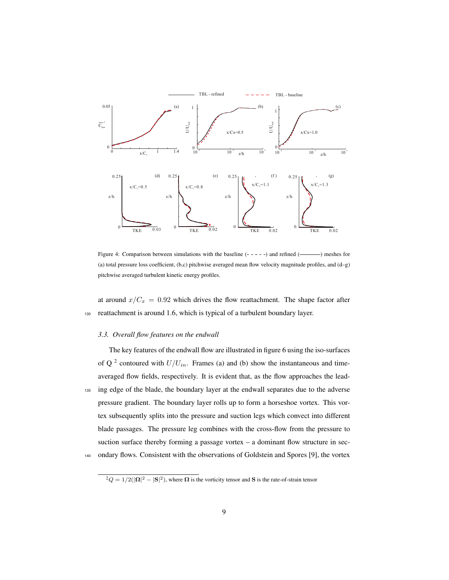

Figure 4: Comparison between simulations with the baseline  $(- - - -)$  and refined  $(\_\_\_\_\)$  meshes for (a) total pressure loss coefficient, (b,c) pitchwise averaged mean flow velocity magnitude profiles, and (d–g) pitchwise averaged turbulent kinetic energy profiles.

at around  $x/C_x = 0.92$  which drives the flow reattachment. The shape factor after <sup>130</sup> reattachment is around 1.6, which is typical of a turbulent boundary layer.

## *3.3. Overall flow features on the endwall*

The key features of the endwall flow are illustrated in figure 6 using the iso-surfaces of Q<sup>2</sup> contoured with  $U/U_{in}$ . Frames (a) and (b) show the instantaneous and timeaveraged flow fields, respectively. It is evident that, as the flow approaches the lead-<sup>135</sup> ing edge of the blade, the boundary layer at the endwall separates due to the adverse pressure gradient. The boundary layer rolls up to form a horseshoe vortex. This vortex subsequently splits into the pressure and suction legs which convect into different blade passages. The pressure leg combines with the cross-flow from the pressure to suction surface thereby forming a passage vortex – a dominant flow structure in sec-

<sup>140</sup> ondary flows. Consistent with the observations of Goldstein and Spores [9], the vortex

 ${}^{2}Q = 1/2(|\mathbf{\Omega}|^{2} - |\mathbf{S}|^{2})$ , where  $\mathbf{\Omega}$  is the vorticity tensor and S is the rate-of-strain tensor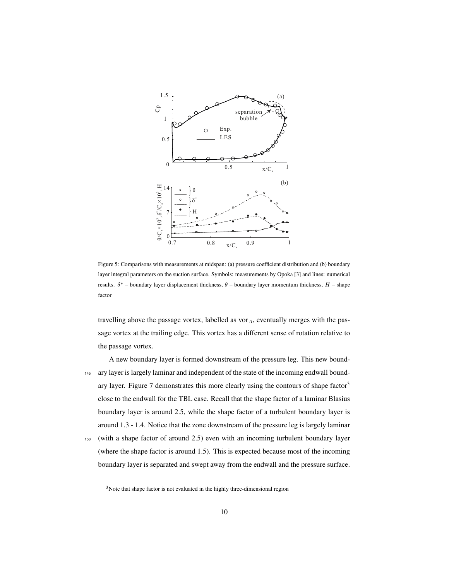

Figure 5: Comparisons with measurements at midspan: (a) pressure coefficient distribution and (b) boundary layer integral parameters on the suction surface. Symbols: measurements by Opoka [3] and lines: numerical results.  $\delta^*$  – boundary layer displacement thickness,  $\theta$  – boundary layer momentum thickness,  $H$  – shape factor

travelling above the passage vortex, labelled as  $\text{vor}_A$ , eventually merges with the passage vortex at the trailing edge. This vortex has a different sense of rotation relative to the passage vortex.

A new boundary layer is formed downstream of the pressure leg. This new bound-<sup>145</sup> ary layer is largely laminar and independent of the state of the incoming endwall boundary layer. Figure 7 demonstrates this more clearly using the contours of shape factor<sup>3</sup> close to the endwall for the TBL case. Recall that the shape factor of a laminar Blasius boundary layer is around 2.5, while the shape factor of a turbulent boundary layer is around 1.3 - 1.4. Notice that the zone downstream of the pressure leg is largely laminar

<sup>150</sup> (with a shape factor of around 2.5) even with an incoming turbulent boundary layer (where the shape factor is around 1.5). This is expected because most of the incoming boundary layer is separated and swept away from the endwall and the pressure surface.

<sup>&</sup>lt;sup>3</sup>Note that shape factor is not evaluated in the highly three-dimensional region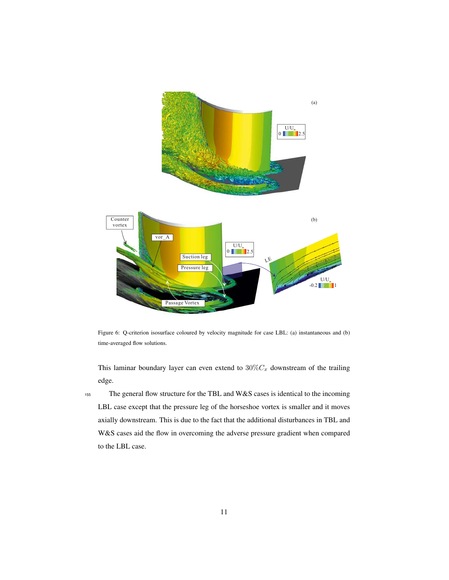

Figure 6: Q-criterion isosurface coloured by velocity magnitude for case LBL: (a) instantaneous and (b) time-averaged flow solutions.

This laminar boundary layer can even extend to  $30\%C_x$  downstream of the trailing edge.

<sup>155</sup> The general flow structure for the TBL and W&S cases is identical to the incoming LBL case except that the pressure leg of the horseshoe vortex is smaller and it moves axially downstream. This is due to the fact that the additional disturbances in TBL and W&S cases aid the flow in overcoming the adverse pressure gradient when compared to the LBL case.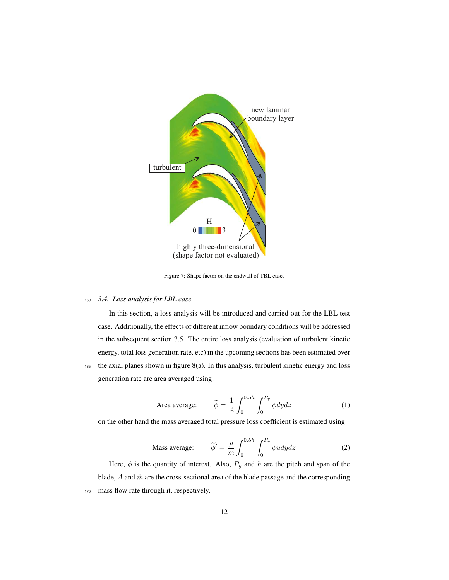

Figure 7: Shape factor on the endwall of TBL case.

## <sup>160</sup> *3.4. Loss analysis for LBL case*

In this section, a loss analysis will be introduced and carried out for the LBL test case. Additionally, the effects of different inflow boundary conditions will be addressed in the subsequent section 3.5. The entire loss analysis (evaluation of turbulent kinetic energy, total loss generation rate, etc) in the upcoming sections has been estimated over <sup>165</sup> the axial planes shown in figure 8(a). In this analysis, turbulent kinetic energy and loss generation rate are area averaged using:

Area average: 
$$
\tilde{\phi} = \frac{1}{A} \int_0^{0.5h} \int_0^{P_y} \phi dy dz
$$
 (1)

on the other hand the mass averaged total pressure loss coefficient is estimated using

Mass average: 
$$
\tilde{\phi}' = \frac{\rho}{\dot{m}} \int_0^{0.5h} \int_0^{P_y} \phi u dy dz
$$
 (2)

Here,  $\phi$  is the quantity of interest. Also,  $P_y$  and h are the pitch and span of the blade,  $A$  and  $\dot{m}$  are the cross-sectional area of the blade passage and the corresponding 170 mass flow rate through it, respectively.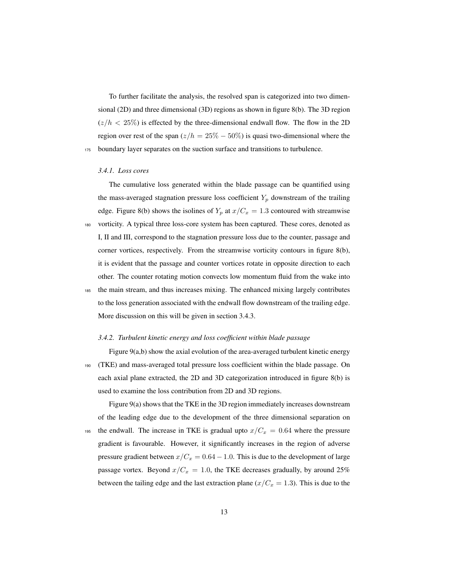To further facilitate the analysis, the resolved span is categorized into two dimensional (2D) and three dimensional (3D) regions as shown in figure 8(b). The 3D region  $(z/h < 25\%)$  is effected by the three-dimensional endwall flow. The flow in the 2D region over rest of the span ( $z/h = 25\% - 50\%$ ) is quasi two-dimensional where the <sup>175</sup> boundary layer separates on the suction surface and transitions to turbulence.

#### *3.4.1. Loss cores*

The cumulative loss generated within the blade passage can be quantified using the mass-averaged stagnation pressure loss coefficient  $Y_p$  downstream of the trailing edge. Figure 8(b) shows the isolines of  $Y_p$  at  $x/C_x = 1.3$  contoured with streamwise <sup>180</sup> vorticity. A typical three loss-core system has been captured. These cores, denoted as I, II and III, correspond to the stagnation pressure loss due to the counter, passage and corner vortices, respectively. From the streamwise vorticity contours in figure 8(b), it is evident that the passage and counter vortices rotate in opposite direction to each other. The counter rotating motion convects low momentum fluid from the wake into <sup>185</sup> the main stream, and thus increases mixing. The enhanced mixing largely contributes to the loss generation associated with the endwall flow downstream of the trailing edge. More discussion on this will be given in section 3.4.3.

#### *3.4.2. Turbulent kinetic energy and loss coefficient within blade passage*

Figure 9(a,b) show the axial evolution of the area-averaged turbulent kinetic energy <sup>190</sup> (TKE) and mass-averaged total pressure loss coefficient within the blade passage. On each axial plane extracted, the 2D and 3D categorization introduced in figure 8(b) is used to examine the loss contribution from 2D and 3D regions.

Figure 9(a) shows that the TKE in the 3D region immediately increases downstream of the leading edge due to the development of the three dimensional separation on 195 the endwall. The increase in TKE is gradual upto  $x/C_x = 0.64$  where the pressure gradient is favourable. However, it significantly increases in the region of adverse pressure gradient between  $x/C_x = 0.64 - 1.0$ . This is due to the development of large passage vortex. Beyond  $x/C_x = 1.0$ , the TKE decreases gradually, by around 25% between the tailing edge and the last extraction plane ( $x/C_x = 1.3$ ). This is due to the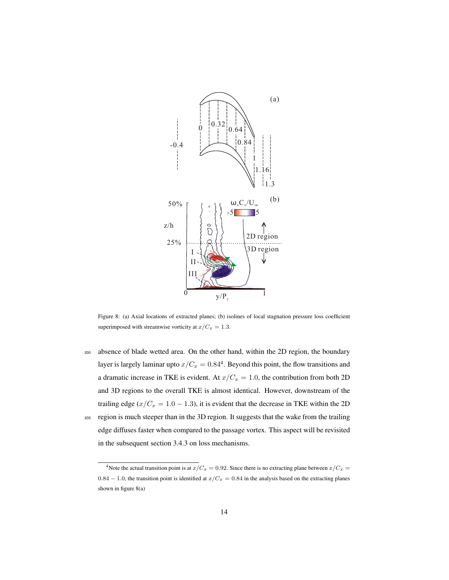

Figure 8: (a) Axial locations of extracted planes; (b) isolines of local stagnation pressure loss coefficient superimposed with streamwise vorticity at  $x/C_x = 1.3$ .

<sup>200</sup> absence of blade wetted area. On the other hand, within the 2D region, the boundary layer is largely laminar upto  $x/C_x = 0.84<sup>4</sup>$ . Beyond this point, the flow transitions and a dramatic increase in TKE is evident. At  $x/C_x = 1.0$ , the contribution from both 2D and 3D regions to the overall TKE is almost identical. However, downstream of the trailing edge ( $x/C_x = 1.0 - 1.3$ ), it is evident that the decrease in TKE within the 2D <sup>205</sup> region is much steeper than in the 3D region. It suggests that the wake from the trailing edge diffuses faster when compared to the passage vortex. This aspect will be revisited in the subsequent section 3.4.3 on loss mechanisms.

<sup>&</sup>lt;sup>4</sup>Note the actual transition point is at  $x/C_x = 0.92$ . Since there is no extracting plane between  $x/C_x = 0.92$ . 0.84 − 1.0, the transition point is identified at  $x/C_x = 0.84$  in the analysis based on the extracting planes shown in figure 8(a)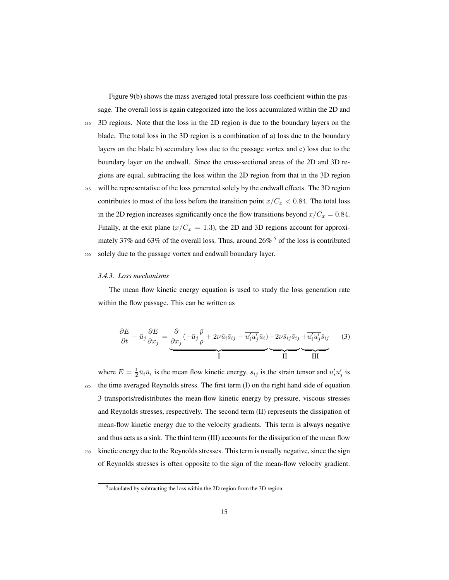Figure 9(b) shows the mass averaged total pressure loss coefficient within the passage. The overall loss is again categorized into the loss accumulated within the 2D and

- <sup>210</sup> 3D regions. Note that the loss in the 2D region is due to the boundary layers on the blade. The total loss in the 3D region is a combination of a) loss due to the boundary layers on the blade b) secondary loss due to the passage vortex and c) loss due to the boundary layer on the endwall. Since the cross-sectional areas of the 2D and 3D regions are equal, subtracting the loss within the 2D region from that in the 3D region
- <sup>215</sup> will be representative of the loss generated solely by the endwall effects. The 3D region contributes to most of the loss before the transition point  $x/C_x < 0.84$ . The total loss in the 2D region increases significantly once the flow transitions beyond  $x/C_x = 0.84$ . Finally, at the exit plane  $(x/C_x = 1.3)$ , the 2D and 3D regions account for approximately 37% and 63% of the overall loss. Thus, around 26%  $<sup>5</sup>$  of the loss is contributed</sup> <sup>220</sup> solely due to the passage vortex and endwall boundary layer.

#### *3.4.3. Loss mechanisms*

The mean flow kinetic energy equation is used to study the loss generation rate within the flow passage. This can be written as

$$
\frac{\partial E}{\partial t} + \bar{u}_j \frac{\partial E}{\partial x_j} = \underbrace{\frac{\partial}{\partial x_j} (-\bar{u}_j \frac{\bar{p}}{\rho} + 2\nu \bar{u}_i \bar{s}_{ij} - \overline{u'_i u'_j} \bar{u}_i) - 2\nu \bar{s}_{ij} \bar{s}_{ij} + \overline{u'_i u'_j} \bar{s}_{ij}}_{\text{II}} \tag{3}
$$

where  $E = \frac{1}{2} \bar{u}_i \bar{u}_i$  is the mean flow kinetic energy,  $s_{ij}$  is the strain tensor and  $\overline{u'_i u'_j}$  is <sup>225</sup> the time averaged Reynolds stress. The first term (I) on the right hand side of equation 3 transports/redistributes the mean-flow kinetic energy by pressure, viscous stresses and Reynolds stresses, respectively. The second term (II) represents the dissipation of mean-flow kinetic energy due to the velocity gradients. This term is always negative and thus acts as a sink. The third term (III) accounts for the dissipation of the mean flow <sup>230</sup> kinetic energy due to the Reynolds stresses. This term is usually negative, since the sign of Reynolds stresses is often opposite to the sign of the mean-flow velocity gradient.

<sup>&</sup>lt;sup>5</sup>calculated by subtracting the loss within the 2D region from the 3D region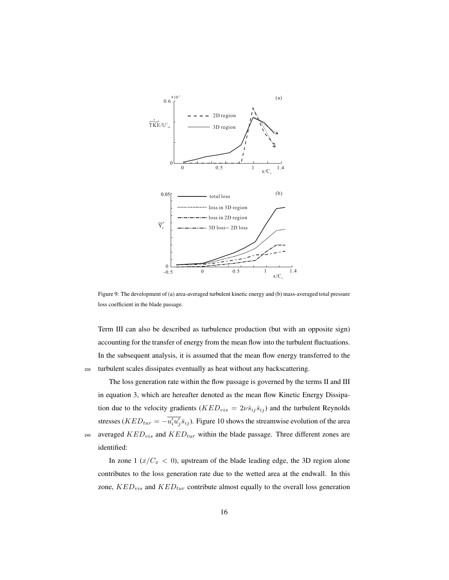

Figure 9: The development of (a) area-averaged turbulent kinetic energy and (b) mass-averaged total pressure loss coefficient in the blade passage.

Term III can also be described as turbulence production (but with an opposite sign) accounting for the transfer of energy from the mean flow into the turbulent fluctuations. In the subsequent analysis, it is assumed that the mean flow energy transferred to the <sup>235</sup> turbulent scales dissipates eventually as heat without any backscattering.

The loss generation rate within the flow passage is governed by the terms II and III in equation 3, which are hereafter denoted as the mean flow Kinetic Energy Dissipation due to the velocity gradients ( $KED_{vis} = 2\nu\bar{s}_{ij}\bar{s}_{ij}$ ) and the turbulent Reynolds stresses ( $KED_{tur} = -\overline{u'_i u'_j} \overline{s}_{ij}$ ). Figure 10 shows the streamwise evolution of the area 240 averaged  $KED_{vis}$  and  $KED_{tur}$  within the blade passage. Three different zones are identified:

In zone 1 ( $x/C_x < 0$ ), upstream of the blade leading edge, the 3D region alone contributes to the loss generation rate due to the wetted area at the endwall. In this zone,  $KED_{vis}$  and  $KED_{tur}$  contribute almost equally to the overall loss generation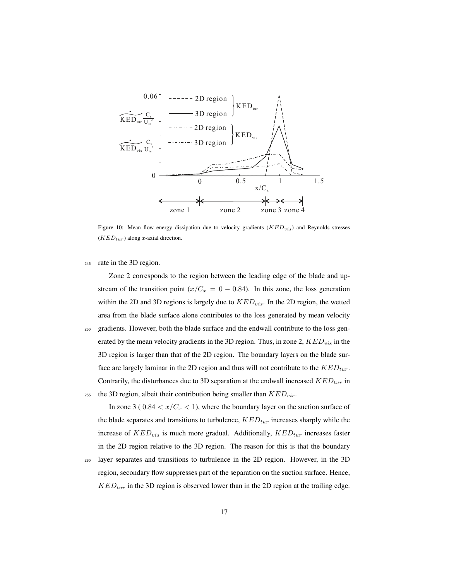

Figure 10: Mean flow energy dissipation due to velocity gradients  $(KED_{vis})$  and Reynolds stresses  $(KED_{tur})$  along x-axial direction.

<sup>245</sup> rate in the 3D region.

Zone 2 corresponds to the region between the leading edge of the blade and upstream of the transition point ( $x/C_x = 0 - 0.84$ ). In this zone, the loss generation within the 2D and 3D regions is largely due to  $KED_{vis}$ . In the 2D region, the wetted area from the blade surface alone contributes to the loss generated by mean velocity

<sup>250</sup> gradients. However, both the blade surface and the endwall contribute to the loss generated by the mean velocity gradients in the 3D region. Thus, in zone 2,  $KED_{vis}$  in the 3D region is larger than that of the 2D region. The boundary layers on the blade surface are largely laminar in the 2D region and thus will not contribute to the  $KED_{tur}$ . Contrarily, the disturbances due to 3D separation at the endwall increased  $KED_{tur}$  in <sup>255</sup> the 3D region, albeit their contribution being smaller than  $KED_{vis}$ .

In zone 3 (  $0.84 < x/C_x < 1$ ), where the boundary layer on the suction surface of the blade separates and transitions to turbulence,  $KED_{tur}$  increases sharply while the increase of  $KED_{vis}$  is much more gradual. Additionally,  $KED_{tur}$  increases faster in the 2D region relative to the 3D region. The reason for this is that the boundary <sup>260</sup> layer separates and transitions to turbulence in the 2D region. However, in the 3D

region, secondary flow suppresses part of the separation on the suction surface. Hence,  $KED_{tur}$  in the 3D region is observed lower than in the 2D region at the trailing edge.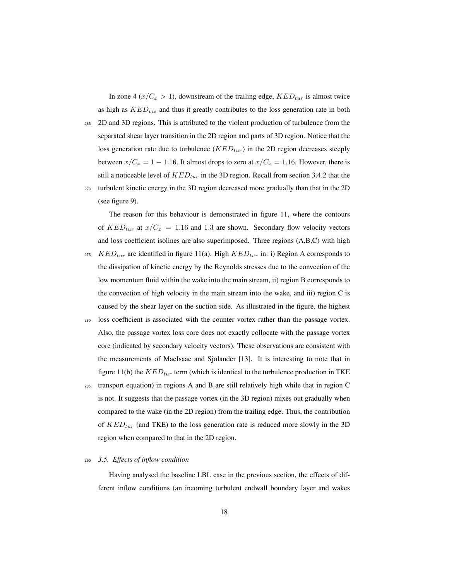In zone 4 ( $x/C_x > 1$ ), downstream of the trailing edge,  $KED_{tur}$  is almost twice as high as  $KED_{vis}$  and thus it greatly contributes to the loss generation rate in both

<sup>265</sup> 2D and 3D regions. This is attributed to the violent production of turbulence from the separated shear layer transition in the 2D region and parts of 3D region. Notice that the loss generation rate due to turbulence  $(KED_{tur})$  in the 2D region decreases steeply between  $x/C_x = 1 - 1.16$ . It almost drops to zero at  $x/C_x = 1.16$ . However, there is still a noticeable level of  $KED_{tur}$  in the 3D region. Recall from section 3.4.2 that the <sup>270</sup> turbulent kinetic energy in the 3D region decreased more gradually than that in the 2D (see figure 9).

The reason for this behaviour is demonstrated in figure 11, where the contours

of  $KED_{tur}$  at  $x/C_x = 1.16$  and 1.3 are shown. Secondary flow velocity vectors and loss coefficient isolines are also superimposed. Three regions (A,B,C) with high <sup>275</sup> KED<sub>tur</sub> are identified in figure 11(a). High KED<sub>tur</sub> in: i) Region A corresponds to the dissipation of kinetic energy by the Reynolds stresses due to the convection of the low momentum fluid within the wake into the main stream, ii) region B corresponds to the convection of high velocity in the main stream into the wake, and iii) region C is caused by the shear layer on the suction side. As illustrated in the figure, the highest

- <sup>280</sup> loss coefficient is associated with the counter vortex rather than the passage vortex. Also, the passage vortex loss core does not exactly collocate with the passage vortex core (indicated by secondary velocity vectors). These observations are consistent with the measurements of MacIsaac and Sjolander [13]. It is interesting to note that in figure 11(b) the  $KED_{tur}$  term (which is identical to the turbulence production in TKE
- <sup>285</sup> transport equation) in regions A and B are still relatively high while that in region C is not. It suggests that the passage vortex (in the 3D region) mixes out gradually when compared to the wake (in the 2D region) from the trailing edge. Thus, the contribution of  $KED_{tur}$  (and TKE) to the loss generation rate is reduced more slowly in the 3D region when compared to that in the 2D region.

#### <sup>290</sup> *3.5. Effects of inflow condition*

Having analysed the baseline LBL case in the previous section, the effects of different inflow conditions (an incoming turbulent endwall boundary layer and wakes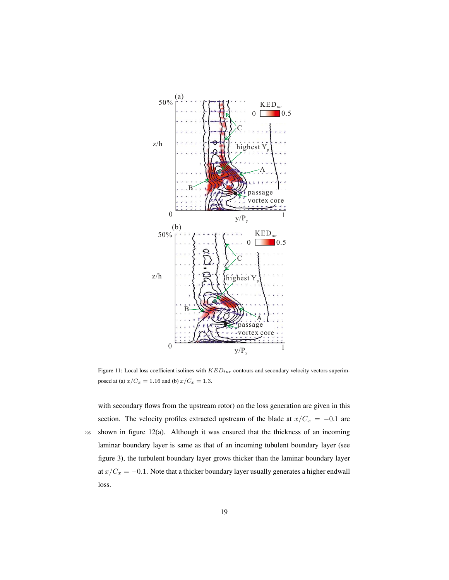

Figure 11: Local loss coefficient isolines with  $KED_{tur}$  contours and secondary velocity vectors superimposed at (a)  $x/C_x = 1.16$  and (b)  $x/C_x = 1.3$ .

with secondary flows from the upstream rotor) on the loss generation are given in this section. The velocity profiles extracted upstream of the blade at  $x/C_x = -0.1$  are <sup>295</sup> shown in figure 12(a). Although it was ensured that the thickness of an incoming laminar boundary layer is same as that of an incoming tubulent boundary layer (see figure 3), the turbulent boundary layer grows thicker than the laminar boundary layer at  $x/C_x = -0.1$ . Note that a thicker boundary layer usually generates a higher endwall loss.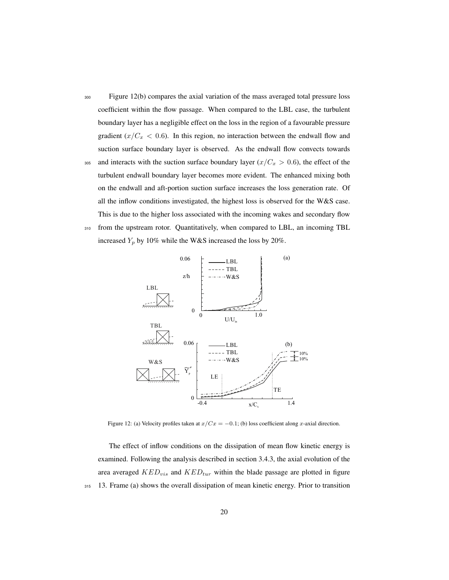- <sup>300</sup> Figure 12(b) compares the axial variation of the mass averaged total pressure loss coefficient within the flow passage. When compared to the LBL case, the turbulent boundary layer has a negligible effect on the loss in the region of a favourable pressure gradient  $(x/C_x < 0.6)$ . In this region, no interaction between the endwall flow and suction surface boundary layer is observed. As the endwall flow convects towards 305 and interacts with the suction surface boundary layer  $(x/C_x > 0.6)$ , the effect of the turbulent endwall boundary layer becomes more evident. The enhanced mixing both on the endwall and aft-portion suction surface increases the loss generation rate. Of all the inflow conditions investigated, the highest loss is observed for the W&S case.
- <sup>310</sup> from the upstream rotor. Quantitatively, when compared to LBL, an incoming TBL increased  $Y_p$  by 10% while the W&S increased the loss by 20%.

This is due to the higher loss associated with the incoming wakes and secondary flow



Figure 12: (a) Velocity profiles taken at  $x/Cx = -0.1$ ; (b) loss coefficient along x-axial direction.

The effect of inflow conditions on the dissipation of mean flow kinetic energy is examined. Following the analysis described in section 3.4.3, the axial evolution of the area averaged  $KED_{vis}$  and  $KED_{tur}$  within the blade passage are plotted in figure <sup>315</sup> 13. Frame (a) shows the overall dissipation of mean kinetic energy. Prior to transition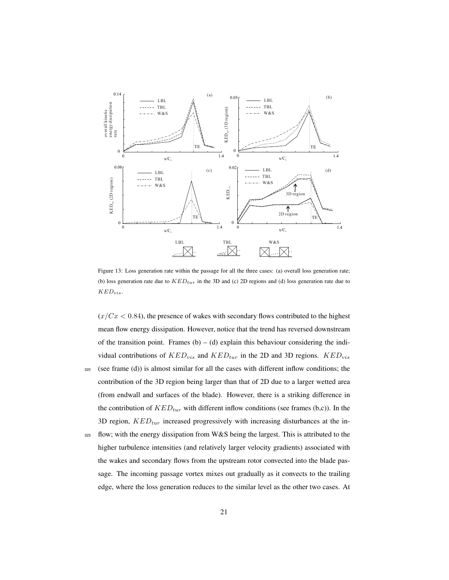

Figure 13: Loss generation rate within the passage for all the three cases: (a) overall loss generation rate; (b) loss generation rate due to  $KED_{tur}$  in the 3D and (c) 2D regions and (d) loss generation rate due to  $KED_{vis}.$ 

 $(x/Cx < 0.84)$ , the presence of wakes with secondary flows contributed to the highest mean flow energy dissipation. However, notice that the trend has reversed downstream of the transition point. Frames  $(b) - (d)$  explain this behaviour considering the individual contributions of  $KED_{vis}$  and  $KED_{tur}$  in the 2D and 3D regions.  $KED_{vis}$  $320$  (see frame (d)) is almost similar for all the cases with different inflow conditions; the contribution of the 3D region being larger than that of 2D due to a larger wetted area

- (from endwall and surfaces of the blade). However, there is a striking difference in the contribution of  $KED_{tur}$  with different inflow conditions (see frames (b,c)). In the 3D region,  $KED_{tur}$  increased progressively with increasing disturbances at the in-
- <sup>325</sup> flow; with the energy dissipation from W&S being the largest. This is attributed to the higher turbulence intensities (and relatively larger velocity gradients) associated with the wakes and secondary flows from the upstream rotor convected into the blade passage. The incoming passage vortex mixes out gradually as it convects to the trailing edge, where the loss generation reduces to the similar level as the other two cases. At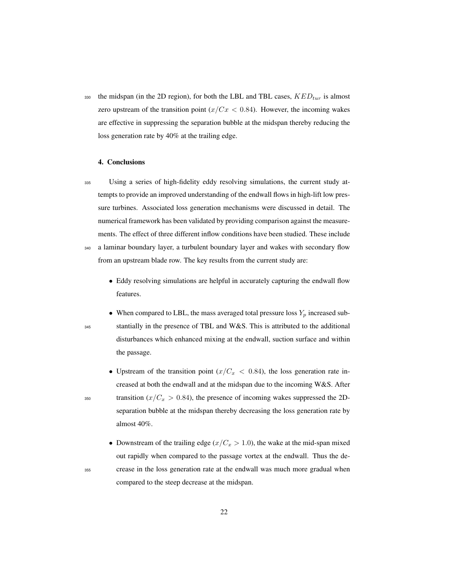330 the midspan (in the 2D region), for both the LBL and TBL cases,  $KED_{tur}$  is almost zero upstream of the transition point  $(x/Cx < 0.84)$ . However, the incoming wakes are effective in suppressing the separation bubble at the midspan thereby reducing the loss generation rate by 40% at the trailing edge.

#### 4. Conclusions

- <sup>335</sup> Using a series of high-fidelity eddy resolving simulations, the current study attempts to provide an improved understanding of the endwall flows in high-lift low pressure turbines. Associated loss generation mechanisms were discussed in detail. The numerical framework has been validated by providing comparison against the measurements. The effect of three different inflow conditions have been studied. These include <sup>340</sup> a laminar boundary layer, a turbulent boundary layer and wakes with secondary flow
	- from an upstream blade row. The key results from the current study are:
		- Eddy resolving simulations are helpful in accurately capturing the endwall flow features.
- When compared to LBL, the mass averaged total pressure loss  $Y_p$  increased sub-<sup>345</sup> stantially in the presence of TBL and W&S. This is attributed to the additional disturbances which enhanced mixing at the endwall, suction surface and within the passage.
- Upstream of the transition point  $(x/C_x < 0.84)$ , the loss generation rate increased at both the endwall and at the midspan due to the incoming W&S. After 350 transition  $(x/C_x > 0.84)$ , the presence of incoming wakes suppressed the 2Dseparation bubble at the midspan thereby decreasing the loss generation rate by almost 40%.
- Downstream of the trailing edge  $(x/C_x > 1.0)$ , the wake at the mid-span mixed out rapidly when compared to the passage vortex at the endwall. Thus the de-<sup>355</sup> crease in the loss generation rate at the endwall was much more gradual when compared to the steep decrease at the midspan.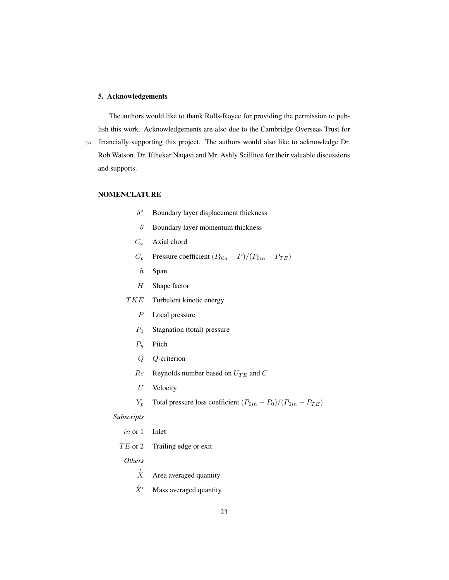## 5. Acknowledgements

The authors would like to thank Rolls-Royce for providing the permission to publish this work. Acknowledgements are also due to the Cambridge Overseas Trust for <sup>360</sup> financially supporting this project. The authors would also like to acknowledge Dr. Rob Watson, Dr. Ifthekar Naqavi and Mr. Ashly Scillitoe for their valuable discussions and supports.

#### NOMENCLATURE

- $\delta^*$ Boundary layer displacement thickness
- $\theta$  Boundary layer momentum thickness
- $C_x$  Axial chord
- $C_p$  Pressure coefficient  $(P_{0in} P)/(P_{0in} P_{TE})$
- $h$  Span
- H Shape factor
- TKE Turbulent kinetic energy
	- P Local pressure
	- $P_0$  Stagnation (total) pressure
	- $P_y$  Pitch
	- Q Q-criterion
	- $Re$  Reynolds number based on  $U_{TE}$  and  $C$
	- U Velocity
	- $Y_p$  Total pressure loss coefficient  $(P_{0in} P_0)/(P_{0in} P_{TE})$

## *Subscripts*

- in or 1 Inlet
- $TE$  or 2 Trailing edge or exit

# *Others*

- $\tilde{X}$  Area averaged quantity
- $\tilde{X}'$  Mass averaged quantity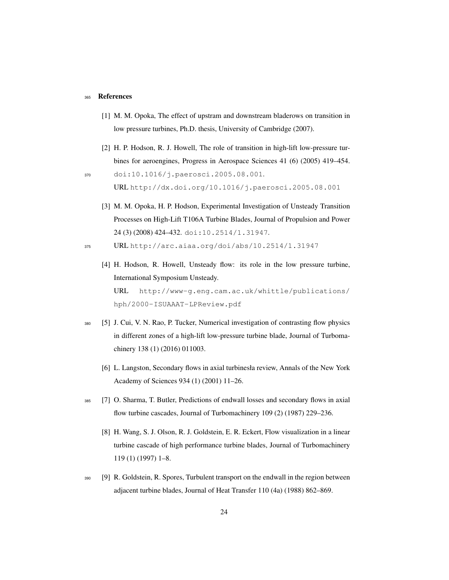#### <sup>365</sup> References

- [1] M. M. Opoka, The effect of upstram and downstream bladerows on transition in low pressure turbines, Ph.D. thesis, University of Cambridge (2007).
- [2] H. P. Hodson, R. J. Howell, The role of transition in high-lift low-pressure turbines for aeroengines, Progress in Aerospace Sciences 41 (6) (2005) 419–454.
- <sup>370</sup> doi:10.1016/j.paerosci.2005.08.001. URL http://dx.doi.org/10.1016/j.paerosci.2005.08.001
	- [3] M. M. Opoka, H. P. Hodson, Experimental Investigation of Unsteady Transition Processes on High-Lift T106A Turbine Blades, Journal of Propulsion and Power 24 (3) (2008) 424–432. doi:10.2514/1.31947.
- <sup>375</sup> URL http://arc.aiaa.org/doi/abs/10.2514/1.31947
	- [4] H. Hodson, R. Howell, Unsteady flow: its role in the low pressure turbine, International Symposium Unsteady. URL http://www-g.eng.cam.ac.uk/whittle/publications/ hph/2000-ISUAAAT-LPReview.pdf
- <sup>380</sup> [5] J. Cui, V. N. Rao, P. Tucker, Numerical investigation of contrasting flow physics in different zones of a high-lift low-pressure turbine blade, Journal of Turbomachinery 138 (1) (2016) 011003.
	- [6] L. Langston, Secondary flows in axial turbinesła review, Annals of the New York Academy of Sciences 934 (1) (2001) 11–26.
- <sup>385</sup> [7] O. Sharma, T. Butler, Predictions of endwall losses and secondary flows in axial flow turbine cascades, Journal of Turbomachinery 109 (2) (1987) 229–236.
	- [8] H. Wang, S. J. Olson, R. J. Goldstein, E. R. Eckert, Flow visualization in a linear turbine cascade of high performance turbine blades, Journal of Turbomachinery 119 (1) (1997) 1–8.
- <sup>390</sup> [9] R. Goldstein, R. Spores, Turbulent transport on the endwall in the region between adjacent turbine blades, Journal of Heat Transfer 110 (4a) (1988) 862–869.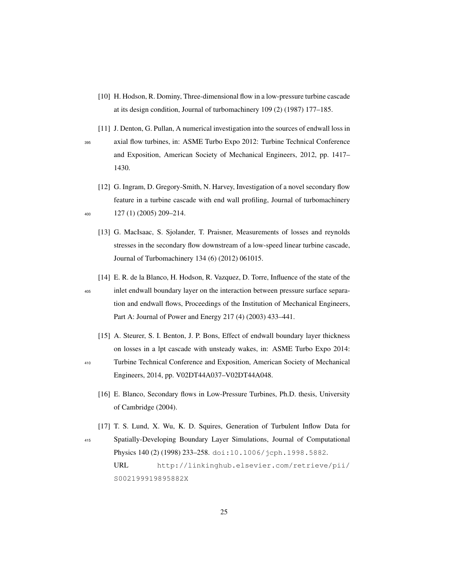- [10] H. Hodson, R. Dominy, Three-dimensional flow in a low-pressure turbine cascade at its design condition, Journal of turbomachinery 109 (2) (1987) 177–185.
- [11] J. Denton, G. Pullan, A numerical investigation into the sources of endwall loss in <sup>395</sup> axial flow turbines, in: ASME Turbo Expo 2012: Turbine Technical Conference and Exposition, American Society of Mechanical Engineers, 2012, pp. 1417– 1430.
- [12] G. Ingram, D. Gregory-Smith, N. Harvey, Investigation of a novel secondary flow feature in a turbine cascade with end wall profiling, Journal of turbomachinery <sup>400</sup> 127 (1) (2005) 209–214.
	- [13] G. MacIsaac, S. Sjolander, T. Praisner, Measurements of losses and reynolds stresses in the secondary flow downstream of a low-speed linear turbine cascade, Journal of Turbomachinery 134 (6) (2012) 061015.
	- [14] E. R. de la Blanco, H. Hodson, R. Vazquez, D. Torre, Influence of the state of the

- <sup>405</sup> inlet endwall boundary layer on the interaction between pressure surface separation and endwall flows, Proceedings of the Institution of Mechanical Engineers, Part A: Journal of Power and Energy 217 (4) (2003) 433–441.
	- [15] A. Steurer, S. I. Benton, J. P. Bons, Effect of endwall boundary layer thickness on losses in a lpt cascade with unsteady wakes, in: ASME Turbo Expo 2014:
- 
- <sup>410</sup> Turbine Technical Conference and Exposition, American Society of Mechanical Engineers, 2014, pp. V02DT44A037–V02DT44A048.
	- [16] E. Blanco, Secondary flows in Low-Pressure Turbines, Ph.D. thesis, University of Cambridge (2004).
- [17] T. S. Lund, X. Wu, K. D. Squires, Generation of Turbulent Inflow Data for <sup>415</sup> Spatially-Developing Boundary Layer Simulations, Journal of Computational Physics 140 (2) (1998) 233-258. doi:10.1006/jcph.1998.5882. URL http://linkinghub.elsevier.com/retrieve/pii/ S002199919895882X